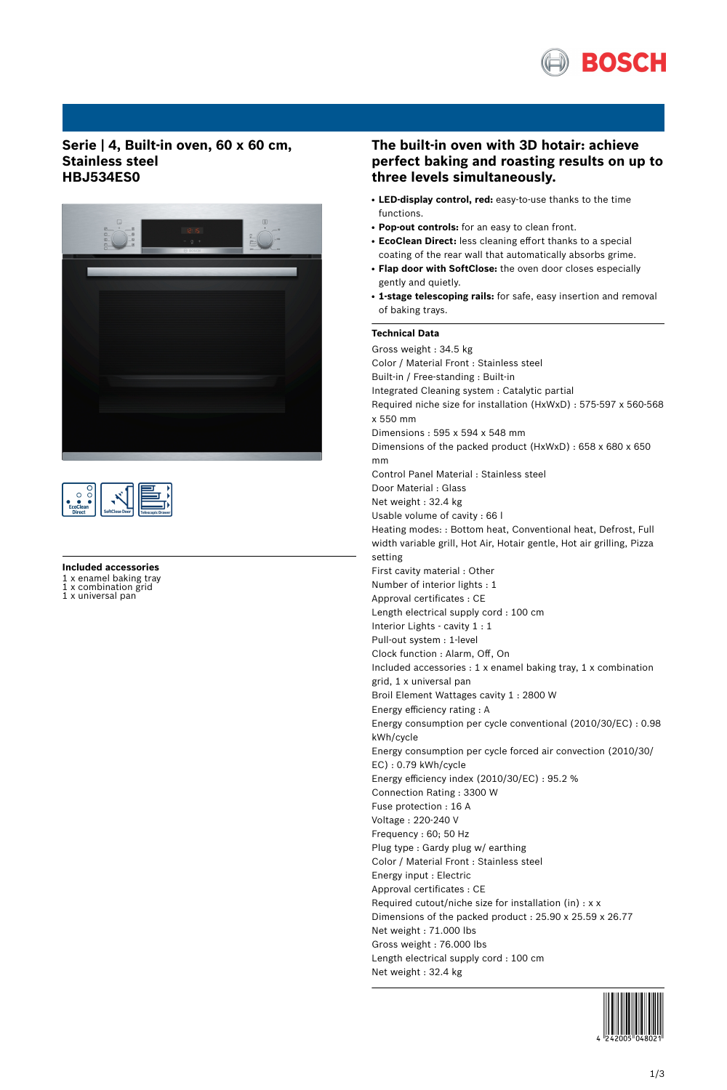

# **Serie | 4, Built-in oven, 60 x 60 cm, Stainless steel HBJ534ES0**



| г<br>٠<br><b>EcoClean</b><br><b>Direct</b> | SoftClose Door |  |
|--------------------------------------------|----------------|--|
|--------------------------------------------|----------------|--|

### **Included accessories**

1 x enamel baking tray<br>1 x combination grid

x combination grid 1 x universal pan

# **The built-in oven with 3D hotair: achieve perfect baking and roasting results on up to three levels simultaneously.**

- **LED-display control, red:** easy-to-use thanks to the time functions.
- **Pop-out controls:** for an easy to clean front.
- **EcoClean Direct:** less cleaning effort thanks to a special coating of the rear wall that automatically absorbs grime.
- **Flap door with SoftClose:** the oven door closes especially gently and quietly.
- **1-stage telescoping rails:** for safe, easy insertion and removal of baking trays.

#### **Technical Data**

Gross weight : 34.5 kg Color / Material Front : Stainless steel Built-in / Free-standing : Built-in Integrated Cleaning system : Catalytic partial Required niche size for installation (HxWxD) : 575-597 x 560-568 x 550 mm Dimensions : 595 x 594 x 548 mm Dimensions of the packed product (HxWxD) : 658 x 680 x 650 mm Control Panel Material : Stainless steel Door Material : Glass Net weight : 32.4 kg Usable volume of cavity : 66 l Heating modes: : Bottom heat, Conventional heat, Defrost, Full width variable grill, Hot Air, Hotair gentle, Hot air grilling, Pizza setting First cavity material : Other Number of interior lights : 1 Approval certificates : CE Length electrical supply cord : 100 cm Interior Lights - cavity 1 : 1 Pull-out system : 1-level Clock function : Alarm, Off, On Included accessories : 1 x enamel baking tray, 1 x combination grid, 1 x universal pan Broil Element Wattages cavity 1 : 2800 W Energy efficiency rating : A Energy consumption per cycle conventional (2010/30/EC) : 0.98 kWh/cycle Energy consumption per cycle forced air convection (2010/30/ EC) : 0.79 kWh/cycle Energy efficiency index (2010/30/EC) : 95.2 % Connection Rating : 3300 W Fuse protection : 16 A Voltage : 220-240 V Frequency : 60; 50 Hz Plug type : Gardy plug w/ earthing Color / Material Front : Stainless steel Energy input : Electric Approval certificates : CE Required cutout/niche size for installation (in) : x x Dimensions of the packed product : 25.90 x 25.59 x 26.77 Net weight : 71.000 lbs Gross weight : 76.000 lbs Length electrical supply cord : 100 cm Net weight : 32.4 kg

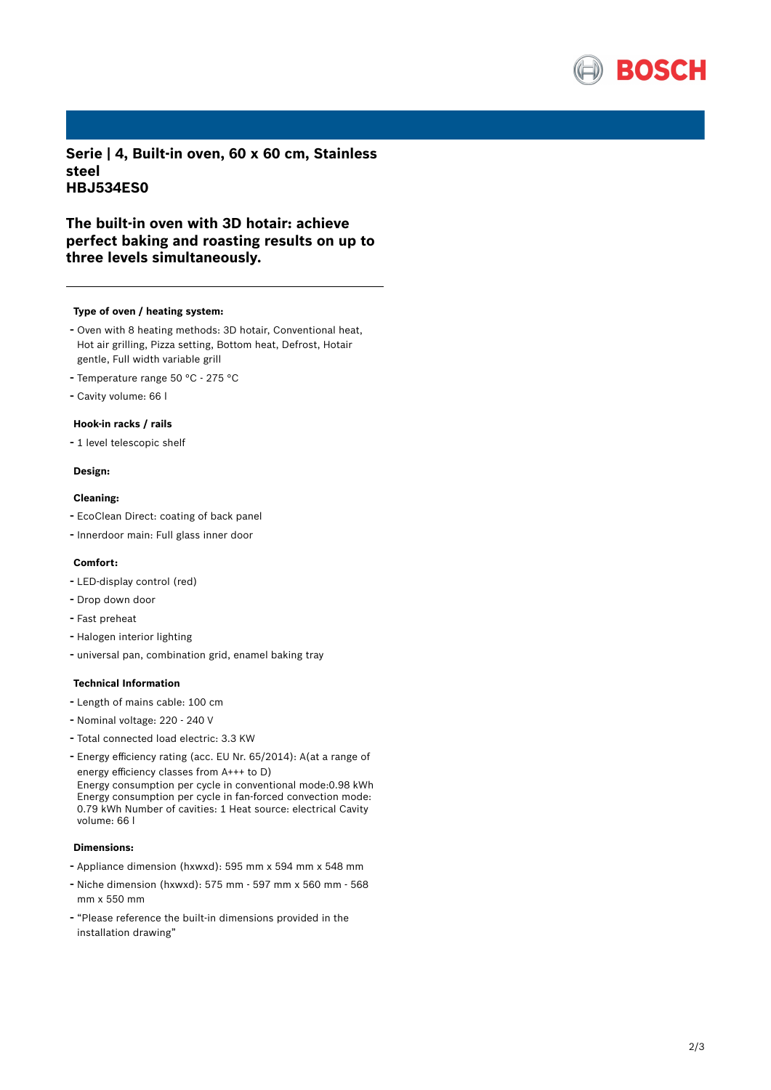

**Serie | 4, Built-in oven, 60 x 60 cm, Stainless steel HBJ534ES0**

# **The built-in oven with 3D hotair: achieve perfect baking and roasting results on up to three levels simultaneously.**

#### **Type of oven / heating system:**

- Oven with <sup>8</sup> heating methods: 3D hotair, Conventional heat, Hot air grilling, Pizza setting, Bottom heat, Defrost, Hotair gentle, Full width variable grill
- Temperature range <sup>50</sup> °C <sup>275</sup> °C
- Cavity volume: <sup>66</sup> <sup>l</sup>

#### **Hook-in racks / rails**

- <sup>1</sup> level telescopic shelf

#### **Design:**

#### **Cleaning:**

- EcoClean Direct: coating of back panel
- Innerdoor main: Full glass inner door

## **Comfort:**

- LED-display control (red)
- Drop down door
- Fast preheat
- Halogen interior lighting
- universal pan, combination grid, enamel baking tray

#### **Technical Information**

- Length of mains cable: <sup>100</sup> cm
- Nominal voltage: <sup>220</sup> <sup>240</sup> <sup>V</sup>
- Total connected load electric: 3.3 KW
- Energy efficiency rating (acc. EU Nr. 65/2014): A(at <sup>a</sup> range of energy efficiency classes from A+++ to D)

Energy consumption per cycle in conventional mode:0.98 kWh Energy consumption per cycle in fan-forced convection mode: 0.79 kWh Number of cavities: 1 Heat source: electrical Cavity volume: 66 l

### **Dimensions:**

- Appliance dimension (hxwxd): 595 mm x 594 mm x 548 mm
- Niche dimension (hxwxd): <sup>575</sup> mm <sup>597</sup> mm <sup>x</sup> <sup>560</sup> mm <sup>568</sup> mm x 550 mm
- "Please reference the built-in dimensions provided in the installation drawing"